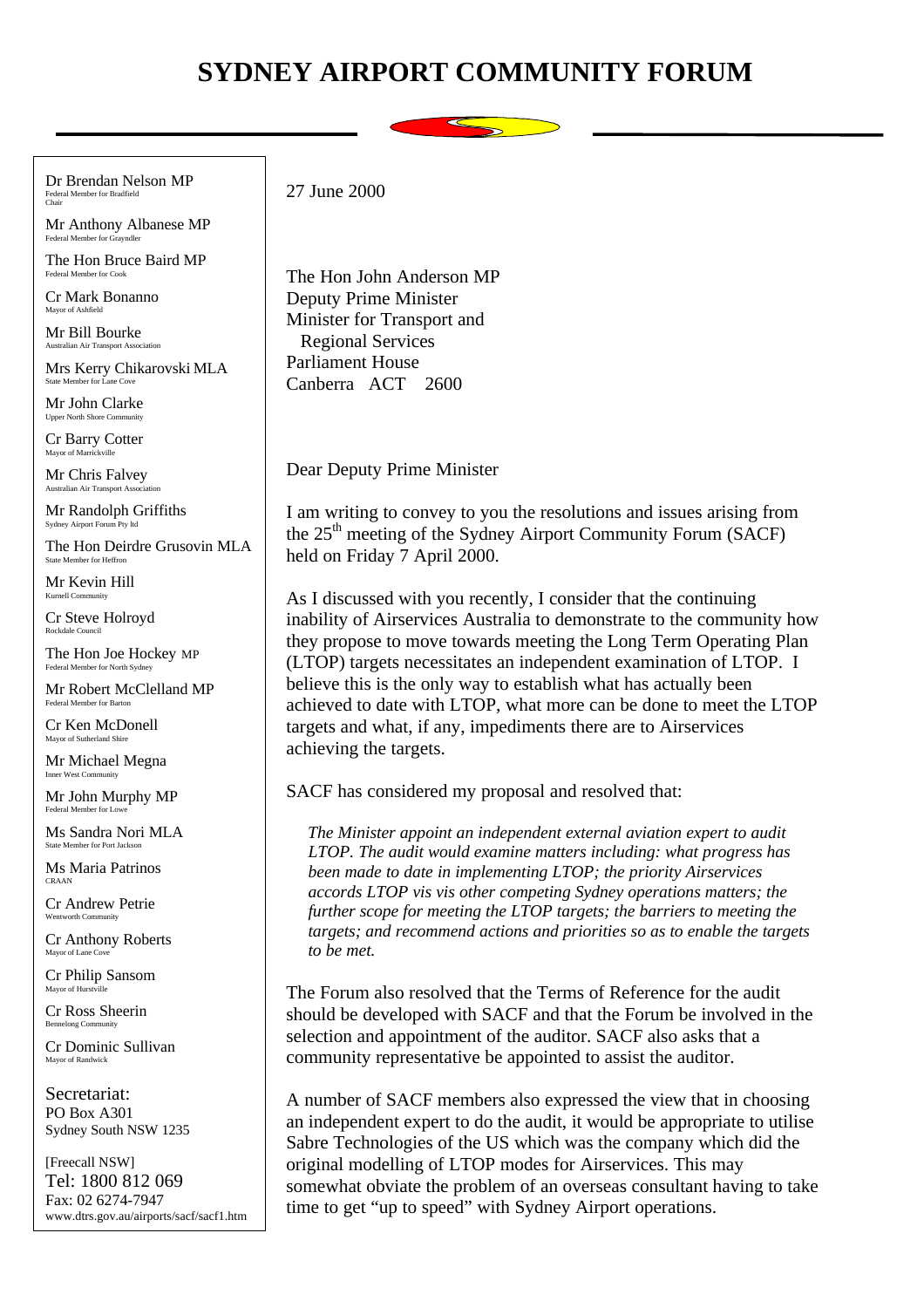## **SYDNEY AIRPORT COMMUNITY FORUM**



Dr Brendan Nelson MP Federal Member for Bradfield Chair

Mr Anthony Albanese MP Federal Member for G

The Hon Bruce Baird MP Federal Member for Cook

Cr Mark Bonanno Mayor of Ashfield

Mr Bill Bourke Australian Air Transport Association

Mrs Kerry Chikarovski MLA State Member for La

Mr John Clarke Upper North Shore Co.

Cr Barry Cotter Mayor of Marrickville

Mr Chris Falvey Australian Air Transport Association

Mr Randolph Griffiths Sydney Airport Forum Pty ltd

The Hon Deirdre Grusovin MLA State Member for Heffr

Mr Kevin Hill  $K$ urnell  $Con$ 

Cr Steve Holroyd Rockdale Council

The Hon Joe Hockey MP Federal Member for North Sydney

Mr Robert McClelland MP Federal Member for Barton

Cr Ken McDonell Mayor of Sutherland Shire

Mr Michael Megna Inner West Community

Mr John Murphy MP Federal Member for Lo

Ms Sandra Nori MLA State Member for Port Jackson

Ms Maria Patrinos CRAAN

Cr Andrew Petrie Wentworth Community

Cr Anthony Roberts Mayor of Lane Cove

Cr Philip Sansom Mayor of Hurst

Cr Ross Sheerin Bennelong Comm

Cr Dominic Sullivan Mayor of Randwick

Secretariat: PO Box A301 Sydney South NSW 1235

[Freecall NSW] Tel: 1800 812 069 Fax: 02 6274-7947 www.dtrs.gov.au/airports/sacf/sacf1.htm 27 June 2000

The Hon John Anderson MP Deputy Prime Minister Minister for Transport and Regional Services Parliament House Canberra ACT 2600

Dear Deputy Prime Minister

I am writing to convey to you the resolutions and issues arising from the  $25<sup>th</sup>$  meeting of the Sydney Airport Community Forum (SACF) held on Friday 7 April 2000.

As I discussed with you recently, I consider that the continuing inability of Airservices Australia to demonstrate to the community how they propose to move towards meeting the Long Term Operating Plan (LTOP) targets necessitates an independent examination of LTOP. I believe this is the only way to establish what has actually been achieved to date with LTOP, what more can be done to meet the LTOP targets and what, if any, impediments there are to Airservices achieving the targets.

SACF has considered my proposal and resolved that:

*The Minister appoint an independent external aviation expert to audit LTOP. The audit would examine matters including: what progress has been made to date in implementing LTOP; the priority Airservices accords LTOP vis vis other competing Sydney operations matters; the further scope for meeting the LTOP targets; the barriers to meeting the targets; and recommend actions and priorities so as to enable the targets to be met.*

The Forum also resolved that the Terms of Reference for the audit should be developed with SACF and that the Forum be involved in the selection and appointment of the auditor. SACF also asks that a community representative be appointed to assist the auditor.

A number of SACF members also expressed the view that in choosing an independent expert to do the audit, it would be appropriate to utilise Sabre Technologies of the US which was the company which did the original modelling of LTOP modes for Airservices. This may somewhat obviate the problem of an overseas consultant having to take time to get "up to speed" with Sydney Airport operations.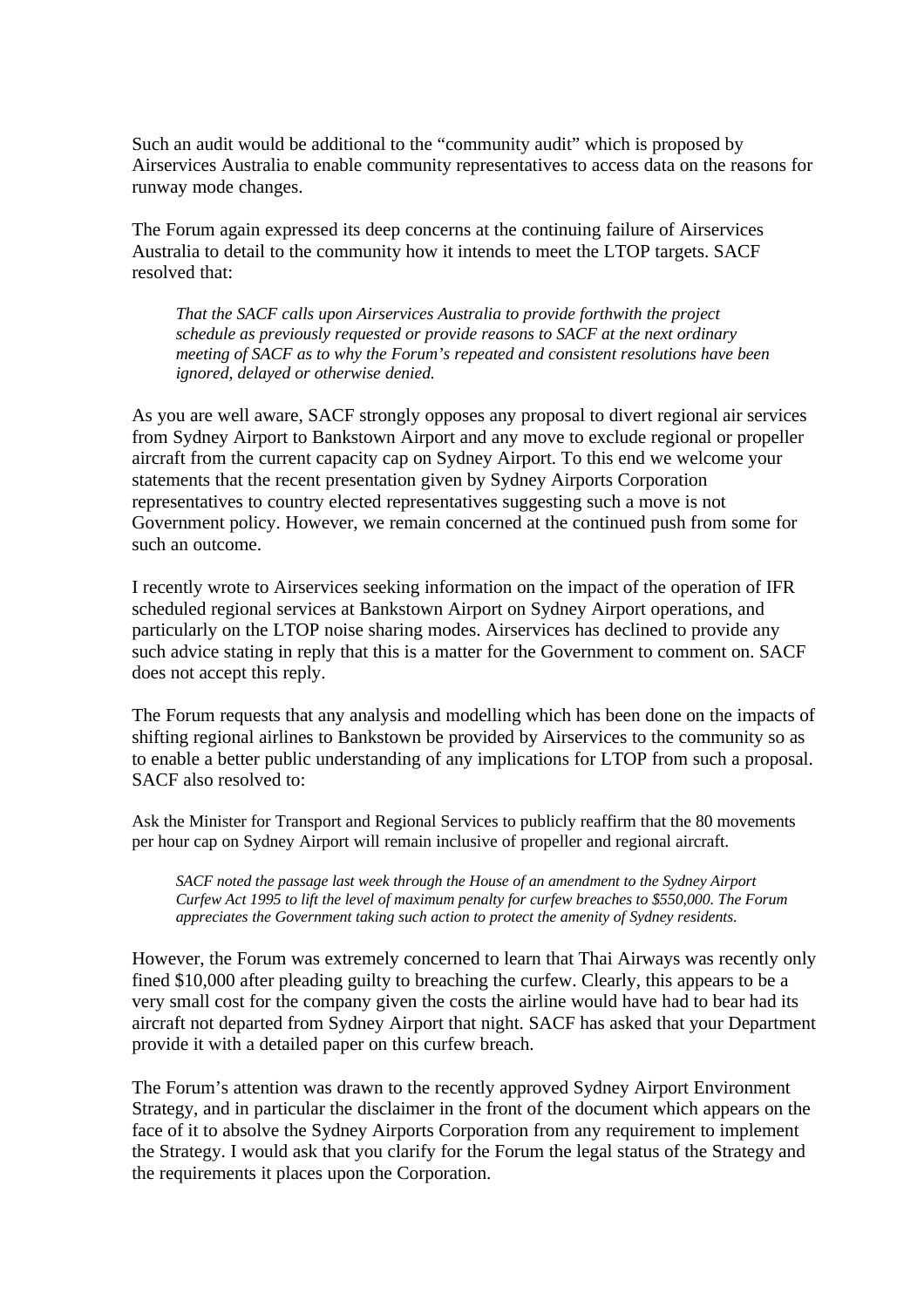Such an audit would be additional to the "community audit" which is proposed by Airservices Australia to enable community representatives to access data on the reasons for runway mode changes.

The Forum again expressed its deep concerns at the continuing failure of Airservices Australia to detail to the community how it intends to meet the LTOP targets. SACF resolved that:

*That the SACF calls upon Airservices Australia to provide forthwith the project schedule as previously requested or provide reasons to SACF at the next ordinary meeting of SACF as to why the Forum's repeated and consistent resolutions have been ignored, delayed or otherwise denied.*

As you are well aware, SACF strongly opposes any proposal to divert regional air services from Sydney Airport to Bankstown Airport and any move to exclude regional or propeller aircraft from the current capacity cap on Sydney Airport. To this end we welcome your statements that the recent presentation given by Sydney Airports Corporation representatives to country elected representatives suggesting such a move is not Government policy. However, we remain concerned at the continued push from some for such an outcome.

I recently wrote to Airservices seeking information on the impact of the operation of IFR scheduled regional services at Bankstown Airport on Sydney Airport operations, and particularly on the LTOP noise sharing modes. Airservices has declined to provide any such advice stating in reply that this is a matter for the Government to comment on. SACF does not accept this reply.

The Forum requests that any analysis and modelling which has been done on the impacts of shifting regional airlines to Bankstown be provided by Airservices to the community so as to enable a better public understanding of any implications for LTOP from such a proposal. SACF also resolved to:

Ask the Minister for Transport and Regional Services to publicly reaffirm that the 80 movements per hour cap on Sydney Airport will remain inclusive of propeller and regional aircraft.

*SACF noted the passage last week through the House of an amendment to the Sydney Airport Curfew Act 1995 to lift the level of maximum penalty for curfew breaches to \$550,000. The Forum appreciates the Government taking such action to protect the amenity of Sydney residents.*

However, the Forum was extremely concerned to learn that Thai Airways was recently only fined \$10,000 after pleading guilty to breaching the curfew. Clearly, this appears to be a very small cost for the company given the costs the airline would have had to bear had its aircraft not departed from Sydney Airport that night. SACF has asked that your Department provide it with a detailed paper on this curfew breach.

The Forum's attention was drawn to the recently approved Sydney Airport Environment Strategy, and in particular the disclaimer in the front of the document which appears on the face of it to absolve the Sydney Airports Corporation from any requirement to implement the Strategy. I would ask that you clarify for the Forum the legal status of the Strategy and the requirements it places upon the Corporation.